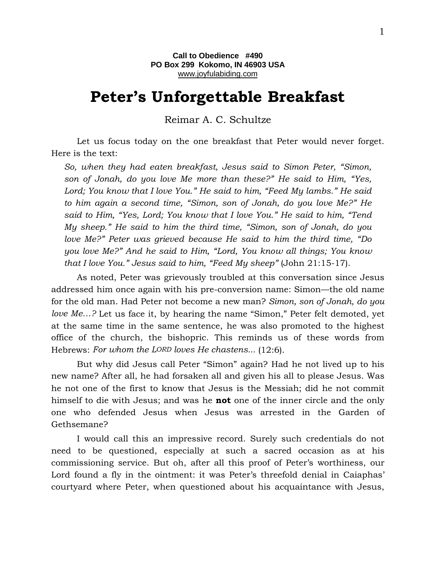## **Peter's Unforgettable Breakfast**

Reimar A. C. Schultze

Let us focus today on the one breakfast that Peter would never forget. Here is the text:

*So, when they had eaten breakfast, Jesus said to Simon Peter, "Simon, son of Jonah, do you love Me more than these?" He said to Him, "Yes, Lord; You know that I love You." He said to him, "Feed My lambs." He said to him again a second time, "Simon, son of Jonah, do you love Me?" He said to Him, "Yes, Lord; You know that I love You." He said to him, "Tend My sheep." He said to him the third time, "Simon, son of Jonah, do you love Me?" Peter was grieved because He said to him the third time, "Do you love Me?" And he said to Him, "Lord, You know all things; You know that I love You." Jesus said to him, "Feed My sheep"* (John 21:15-17).

As noted, Peter was grievously troubled at this conversation since Jesus addressed him once again with his pre-conversion name: Simon—the old name for the old man. Had Peter not become a new man? *Simon, son of Jonah, do you love Me…?* Let us face it, by hearing the name "Simon," Peter felt demoted, yet at the same time in the same sentence, he was also promoted to the highest office of the church, the bishopric. This reminds us of these words from Hebrews: *For whom the LORD loves He chastens...* (12:6).

But why did Jesus call Peter "Simon" again? Had he not lived up to his new name? After all, he had forsaken all and given his all to please Jesus. Was he not one of the first to know that Jesus is the Messiah; did he not commit himself to die with Jesus; and was he **not** one of the inner circle and the only one who defended Jesus when Jesus was arrested in the Garden of Gethsemane?

I would call this an impressive record. Surely such credentials do not need to be questioned, especially at such a sacred occasion as at his commissioning service. But oh, after all this proof of Peter's worthiness, our Lord found a fly in the ointment: it was Peter's threefold denial in Caiaphas' courtyard where Peter, when questioned about his acquaintance with Jesus,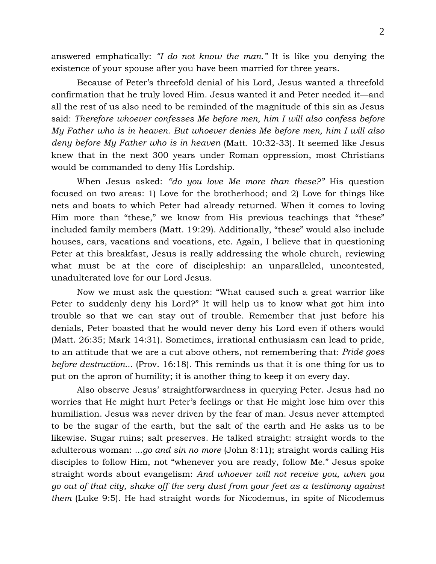answered emphatically: *"I do not know the man."* It is like you denying the existence of your spouse after you have been married for three years.

Because of Peter's threefold denial of his Lord, Jesus wanted a threefold confirmation that he truly loved Him. Jesus wanted it and Peter needed it—and all the rest of us also need to be reminded of the magnitude of this sin as Jesus said: *Therefore whoever confesses Me before men, him I will also confess before My Father who is in heaven. But whoever denies Me before men, him I will also deny before My Father who is in heaven* (Matt. 10:32-33). It seemed like Jesus knew that in the next 300 years under Roman oppression, most Christians would be commanded to deny His Lordship.

When Jesus asked: *"do you love Me more than these?"* His question focused on two areas: 1) Love for the brotherhood; and 2) Love for things like nets and boats to which Peter had already returned. When it comes to loving Him more than "these," we know from His previous teachings that "these" included family members (Matt. 19:29). Additionally, "these" would also include houses, cars, vacations and vocations, etc. Again, I believe that in questioning Peter at this breakfast, Jesus is really addressing the whole church, reviewing what must be at the core of discipleship: an unparalleled, uncontested, unadulterated love for our Lord Jesus.

Now we must ask the question: "What caused such a great warrior like Peter to suddenly deny his Lord?" It will help us to know what got him into trouble so that we can stay out of trouble. Remember that just before his denials, Peter boasted that he would never deny his Lord even if others would (Matt. 26:35; Mark 14:31). Sometimes, irrational enthusiasm can lead to pride, to an attitude that we are a cut above others, not remembering that: *Pride goes before destruction...* (Prov. 16:18). This reminds us that it is one thing for us to put on the apron of humility; it is another thing to keep it on every day.

Also observe Jesus' straightforwardness in querying Peter. Jesus had no worries that He might hurt Peter's feelings or that He might lose him over this humiliation. Jesus was never driven by the fear of man. Jesus never attempted to be the sugar of the earth, but the salt of the earth and He asks us to be likewise. Sugar ruins; salt preserves. He talked straight: straight words to the adulterous woman: *...go and sin no more* (John 8:11); straight words calling His disciples to follow Him, not "whenever you are ready, follow Me." Jesus spoke straight words about evangelism: *And whoever will not receive you, when you go out of that city, shake off the very dust from your feet as a testimony against them* (Luke 9:5). He had straight words for Nicodemus, in spite of Nicodemus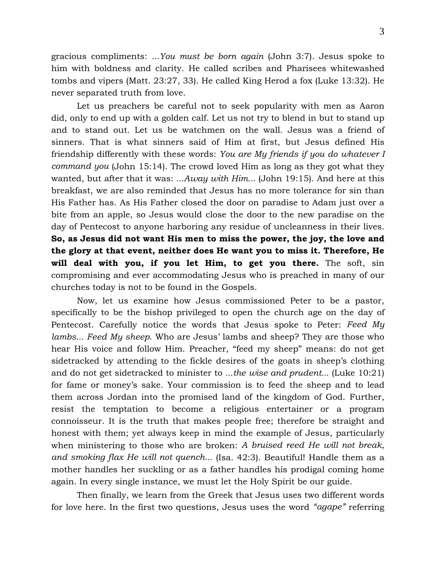gracious compliments: *...You must be born again* (John 3:7). Jesus spoke to him with boldness and clarity. He called scribes and Pharisees whitewashed tombs and vipers (Matt. 23:27, 33). He called King Herod a fox (Luke 13:32). He never separated truth from love.

Let us preachers be careful not to seek popularity with men as Aaron did, only to end up with a golden calf. Let us not try to blend in but to stand up and to stand out. Let us be watchmen on the wall. Jesus was a friend of sinners. That is what sinners said of Him at first, but Jesus defined His friendship differently with these words: *You are My friends if you do whatever I command you* (John 15:14). The crowd loved Him as long as they got what they wanted, but after that it was: *...Away with Him...* (John 19:15). And here at this breakfast, we are also reminded that Jesus has no more tolerance for sin than His Father has. As His Father closed the door on paradise to Adam just over a bite from an apple, so Jesus would close the door to the new paradise on the day of Pentecost to anyone harboring any residue of uncleanness in their lives. **So, as Jesus did not want His men to miss the power, the joy, the love and the glory at that event, neither does He want you to miss it. Therefore, He will deal with you, if you let Him, to get you there.** The soft, sin compromising and ever accommodating Jesus who is preached in many of our churches today is not to be found in the Gospels.

Now, let us examine how Jesus commissioned Peter to be a pastor, specifically to be the bishop privileged to open the church age on the day of Pentecost. Carefully notice the words that Jesus spoke to Peter: *Feed My lambs... Feed My sheep*. Who are Jesus' lambs and sheep? They are those who hear His voice and follow Him. Preacher, "feed my sheep" means: do not get sidetracked by attending to the fickle desires of the goats in sheep's clothing and do not get sidetracked to minister to *...the wise and prudent...* (Luke 10:21) for fame or money's sake. Your commission is to feed the sheep and to lead them across Jordan into the promised land of the kingdom of God. Further, resist the temptation to become a religious entertainer or a program connoisseur. It is the truth that makes people free; therefore be straight and honest with them; yet always keep in mind the example of Jesus, particularly when ministering to those who are broken: *A bruised reed He will not break, and smoking flax He will not quench...* (Isa. 42:3). Beautiful! Handle them as a mother handles her suckling or as a father handles his prodigal coming home again. In every single instance, we must let the Holy Spirit be our guide.

Then finally, we learn from the Greek that Jesus uses two different words for love here. In the first two questions, Jesus uses the word *"agape"* referring